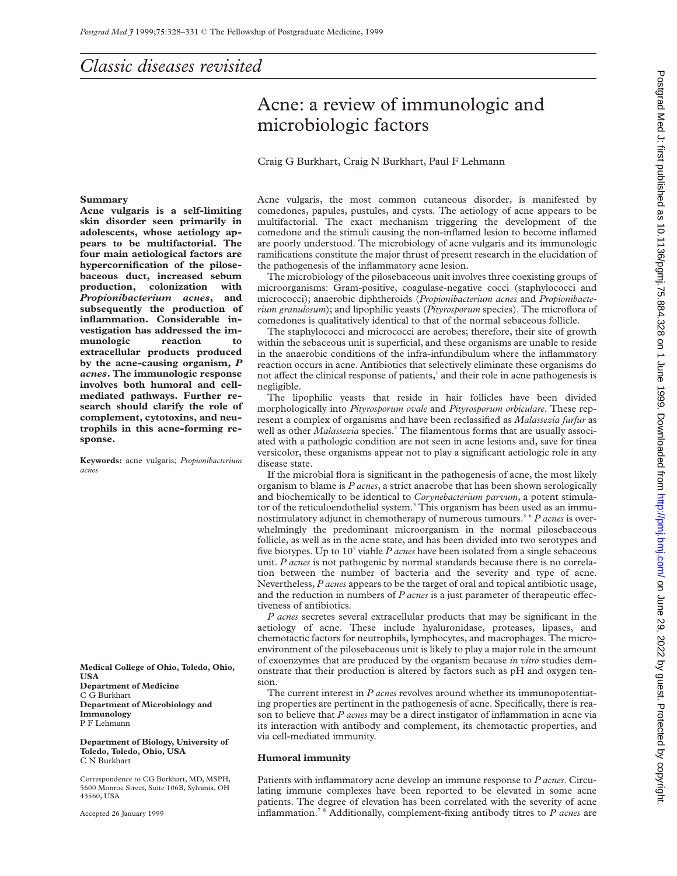# Acne: a review of immunologic and microbiologic factors

## Craig G Burkhart, Craig N Burkhart, Paul F Lehmann

#### **Summary**

**Acne vulgaris is a self-limiting skin disorder seen primarily in adolescents, whose aetiology appears to be multifactorial. The four main aetiological factors are hypercornification of the pilosebaceous duct, increased sebum production, colonization with** *Propionibacterium acnes***, and subsequently the production of inflammation. Considerable investigation has addressed the immunologic reaction to extracellular products produced by the acne-causing organism,** *P acnes***. The immunologic response involves both humoral and cellmediated pathways. Further research should clarify the role of complement, cytotoxins, and neutrophils in this acne-forming response.**

**Keywords:** acne vulgaris; *Propionibacterium acnes*

**Medical College of Ohio, Toledo, Ohio, USA Department of Medicine** C G Burkhart **Department of Microbiology and Immunology** P F Lehmann

**Department of Biology, University of Toledo, Toledo, Ohio, USA** C N Burkhart

Correspondence to CG Burkhart, MD, MSPH, 5600 Monroe Street, Suite 106B, Sylvania, OH 43560, USA

Accepted 26 January 1999

Acne vulgaris, the most common cutaneous disorder, is manifested by comedones, papules, pustules, and cysts. The aetiology of acne appears to be multifactorial. The exact mechanism triggering the development of the comedone and the stimuli causing the non-inflamed lesion to become inflamed are poorly understood. The microbiology of acne vulgaris and its immunologic ramifications constitute the major thrust of present research in the elucidation of the pathogenesis of the inflammatory acne lesion.

The microbiology of the pilosebaceous unit involves three coexisting groups of microorganisms: Gram-positive, coagulase-negative cocci (staphylococci and micrococci); anaerobic diphtheroids (*Propionibacterium acnes* and *Propionibacterium granulosum*); and lipophilic yeasts (*Pityrosporum* species). The microflora of comedones is qualitatively identical to that of the normal sebaceous follicle.

The staphylococci and micrococci are aerobes; therefore, their site of growth within the sebaceous unit is superficial, and these organisms are unable to reside in the anaerobic conditions of the infra-infundibulum where the inflammatory reaction occurs in acne. Antibiotics that selectively eliminate these organisms do not affect the clinical response of patients,<sup>1</sup> and their role in acne pathogenesis is negligible.

The lipophilic yeasts that reside in hair follicles have been divided morphologically into *Pityrosporum ovale* and *Pityrosporum orbiculare*. These represent a complex of organisms and have been reclassified as *Malassezia furfur* as well as other *Malassezia* species.<sup>2</sup> The filamentous forms that are usually associated with a pathologic condition are not seen in acne lesions and, save for tinea versicolor, these organisms appear not to play a significant aetiologic role in any disease state.

If the microbial flora is significant in the pathogenesis of acne, the most likely organism to blame is *P acnes*, a strict anaerobe that has been shown serologically and biochemically to be identical to *Corynebacterium parvum*, a potent stimulator of the reticuloendothelial system.<sup>3</sup> This organism has been used as an immunostimulatory adjunct in chemotherapy of numerous tumours.<sup>3-6</sup> *P acnes* is overwhelmingly the predominant microorganism in the normal pilosebaceous follicle, as well as in the acne state, and has been divided into two serotypes and five biotypes. Up to 107 viable *P acnes* have been isolated from a single sebaceous unit. *P acnes* is not pathogenic by normal standards because there is no correlation between the number of bacteria and the severity and type of acne. Nevertheless, *P acnes* appears to be the target of oral and topical antibiotic usage, and the reduction in numbers of *P acnes* is a just parameter of therapeutic effectiveness of antibiotics.

*P acnes* secretes several extracellular products that may be significant in the aetiology of acne. These include hyaluronidase, proteases, lipases, and chemotactic factors for neutrophils, lymphocytes, and macrophages. The microenvironment of the pilosebaceous unit is likely to play a major role in the amount of exoenzymes that are produced by the organism because *in vitro* studies demonstrate that their production is altered by factors such as pH and oxygen tension.

The current interest in *P acnes* revolves around whether its immunopotentiating properties are pertinent in the pathogenesis of acne. Specifically, there is reason to believe that *P acnes* may be a direct instigator of inflammation in acne via its interaction with antibody and complement, its chemotactic properties, and via cell-mediated immunity.

### **Humoral immunity**

Patients with inflammatory acne develop an immune response to *P acnes*. Circulating immune complexes have been reported to be elevated in some acne patients. The degree of elevation has been correlated with the severity of acne inflammation.7 8 Additionally, complement-fixing antibody titres to *P acnes* are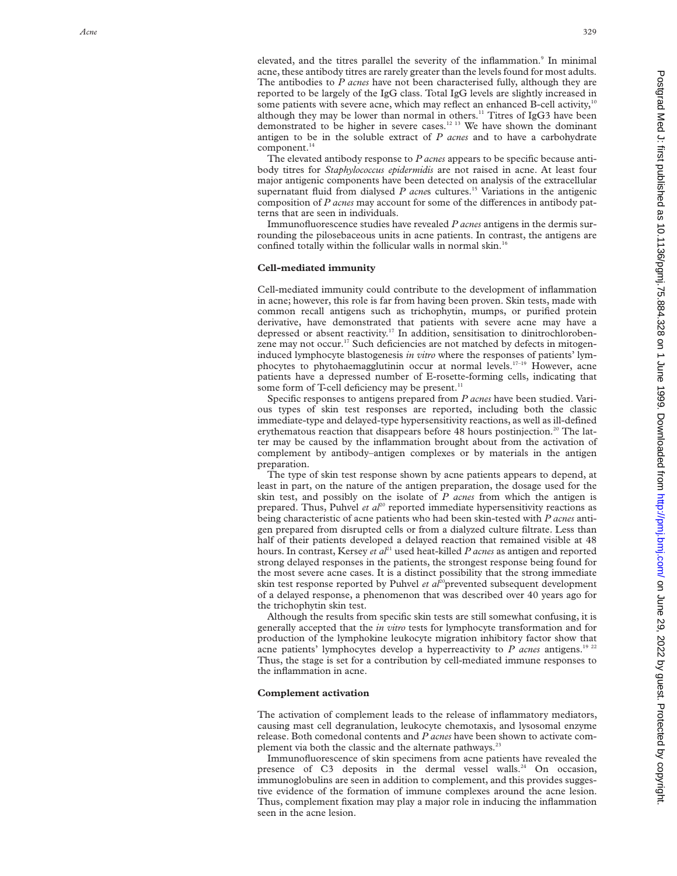elevated, and the titres parallel the severity of the inflammation. <sup>9</sup> In minimal acne, these antibody titres are rarely greater than the levels found for most adults. The antibodies to *P acnes* have not been characterised fully, although they are reported to be largely of the IgG class. Total IgG levels are slightly increased in some patients with severe acne, which may reflect an enhanced B-cell activity,<sup>10</sup> although they may be lower than normal in others.<sup>11</sup> Titres of IgG3 have been demonstrated to be higher in severe cases.12 13 We have shown the dominant antigen to be in the soluble extract of *P acnes* and to have a carbohydrate  $component.<sup>14</sup>$ 

The elevated antibody response to *P acnes* appears to be specific because antibody titres for *Staphylococcus epidermidis* are not raised in acne. At least four major antigenic components have been detected on analysis of the extracellular supernatant fluid from dialysed *P acnes* cultures.<sup>15</sup> Variations in the antigenic composition of *P acnes* may account for some of the differences in antibody patterns that are seen in individuals.

Immunofluorescence studies have revealed *P acnes* antigens in the dermis surrounding the pilosebaceous units in acne patients. In contrast, the antigens are confined totally within the follicular walls in normal skin.<sup>16</sup>

## **Cell-mediated immunity**

Cell-mediated immunity could contribute to the development of inflammation in acne; however, this role is far from having been proven. Skin tests, made with common recall antigens such as trichophytin, mumps, or purified protein derivative, have demonstrated that patients with severe acne may have a depressed or absent reactivity.<sup>17</sup> In addition, sensitisation to dinitrochlorobenzene may not occur.<sup>17</sup> Such deficiencies are not matched by defects in mitogeninduced lymphocyte blastogenesis *in vitro* where the responses of patients' lymphocytes to phytohaemagglutinin occur at normal levels.17–19 However, acne patients have a depressed number of E-rosette-forming cells, indicating that some form of T-cell deficiency may be present.<sup>11</sup>

Specific responses to antigens prepared from *P acnes* have been studied. Various types of skin test responses are reported, including both the classic immediate-type and delayed-type hypersensitivity reactions, as well as ill-defined erythematous reaction that disappears before 48 hours postinjection.<sup>20</sup> The latter may be caused by the inflammation brought about from the activation of complement by antibody–antigen complexes or by materials in the antigen preparation.

The type of skin test response shown by acne patients appears to depend, at least in part, on the nature of the antigen preparation, the dosage used for the skin test, and possibly on the isolate of *P acnes* from which the antigen is prepared. Thus, Puhvel *et al*<sup>20</sup> reported immediate hypersensitivity reactions as being characteristic of acne patients who had been skin-tested with *P acnes* antigen prepared from disrupted cells or from a dialyzed culture filtrate. Less than half of their patients developed a delayed reaction that remained visible at 48 hours. In contrast, Kersey *et al*<sup>21</sup> used heat-killed *P acnes* as antigen and reported strong delayed responses in the patients, the strongest response being found for the most severe acne cases. It is a distinct possibility that the strong immediate skin test response reported by Puhvel *et al*<sup>20</sup>prevented subsequent development of a delayed response, a phenomenon that was described over 40 years ago for the trichophytin skin test.

Although the results from specific skin tests are still somewhat confusing, it is generally accepted that the *in vitro* tests for lymphocyte transformation and for production of the lymphokine leukocyte migration inhibitory factor show that acne patients' lymphocytes develop a hyperreactivity to *P acnes* antigens.<sup>19 22</sup> Thus, the stage is set for a contribution by cell-mediated immune responses to the inflammation in acne.

## **Complement activation**

The activation of complement leads to the release of inflammatory mediators, causing mast cell degranulation, leukocyte chemotaxis, and lysosomal enzyme release. Both comedonal contents and *P acnes* have been shown to activate complement via both the classic and the alternate pathways. $22$ 

Immunofluorescence of skin specimens from acne patients have revealed the presence of C3 deposits in the dermal vessel walls.<sup>24</sup> On occasion, immunoglobulins are seen in addition to complement, and this provides suggestive evidence of the formation of immune complexes around the acne lesion. Thus, complement fixation may play a major role in inducing the inflammation seen in the acne lesion.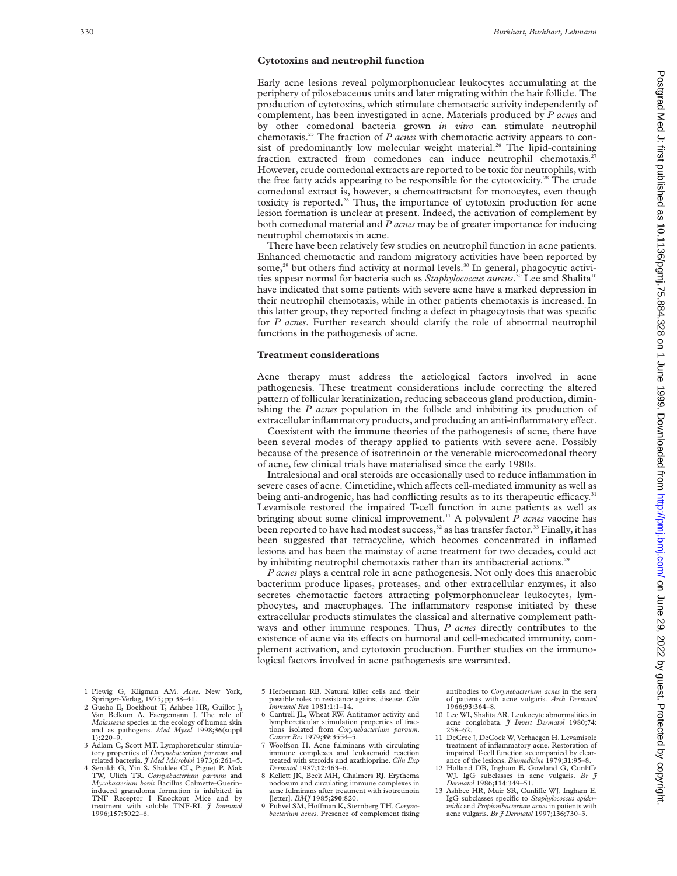### **Cytotoxins and neutrophil function**

Early acne lesions reveal polymorphonuclear leukocytes accumulating at the periphery of pilosebaceous units and later migrating within the hair follicle. The production of cytotoxins, which stimulate chemotactic activity independently of complement, has been investigated in acne. Materials produced by *P acnes* and by other comedonal bacteria grown *in vitro* can stimulate neutrophil chemotaxis.25 The fraction of *P acnes* with chemotactic activity appears to consist of predominantly low molecular weight material.<sup>26</sup> The lipid-containing fraction extracted from comedones can induce neutrophil chemotaxis.<sup>2</sup> However, crude comedonal extracts are reported to be toxic for neutrophils, with the free fatty acids appearing to be responsible for the cytotoxicity.<sup>28</sup> The crude comedonal extract is, however, a chemoattractant for monocytes, even though toxicity is reported.<sup>28</sup> Thus, the importance of cytotoxin production for acne lesion formation is unclear at present. Indeed, the activation of complement by both comedonal material and *P acnes* may be of greater importance for inducing neutrophil chemotaxis in acne.

There have been relatively few studies on neutrophil function in acne patients. Enhanced chemotactic and random migratory activities have been reported by some,<sup>29</sup> but others find activity at normal levels.<sup>30</sup> In general, phagocytic activities appear normal for bacteria such as *Staphylococcus aureus*.<sup>30</sup> Lee and Shalita<sup>10</sup> have indicated that some patients with severe acne have a marked depression in their neutrophil chemotaxis, while in other patients chemotaxis is increased. In this latter group, they reported finding a defect in phagocytosis that was specific for *P acnes*. Further research should clarify the role of abnormal neutrophil functions in the pathogenesis of acne.

#### **Treatment considerations**

Acne therapy must address the aetiological factors involved in acne pathogenesis. These treatment considerations include correcting the altered pattern of follicular keratinization, reducing sebaceous gland production, diminishing the *P acnes* population in the follicle and inhibiting its production of extracellular inflammatory products, and producing an anti-inflammatory effect.

Coexistent with the immune theories of the pathogenesis of acne, there have been several modes of therapy applied to patients with severe acne. Possibly because of the presence of isotretinoin or the venerable microcomedonal theory of acne, few clinical trials have materialised since the early 1980s.

Intralesional and oral steroids are occasionally used to reduce inflammation in severe cases of acne. Cimetidine, which affects cell-mediated immunity as well as being anti-androgenic, has had conflicting results as to its therapeutic efficacy.<sup>3</sup> Levamisole restored the impaired T-cell function in acne patients as well as bringing about some clinical improvement.<sup>11</sup> A polyvalent  $\hat{P}$  acnes vaccine has been reported to have had modest success,<sup>32</sup> as has transfer factor.<sup>33</sup> Finally, it has been suggested that tetracycline, which becomes concentrated in inflamed lesions and has been the mainstay of acne treatment for two decades, could act by inhibiting neutrophil chemotaxis rather than its antibacterial actions.<sup>29</sup>

*P acnes* plays a central role in acne pathogenesis. Not only does this anaerobic bacterium produce lipases, proteases, and other extracellular enzymes, it also secretes chemotactic factors attracting polymorphonuclear leukocytes, lymphocytes, and macrophages. The inflammatory response initiated by these extracellular products stimulates the classical and alternative complement pathways and other immune respones. Thus, *P acnes* directly contributes to the existence of acne via its effects on humoral and cell-medicated immunity, complement activation, and cytotoxin production. Further studies on the immunological factors involved in acne pathogenesis are warranted.

- 1 Plewig G, Kligman AM. *Acne*. New York, Springer-Verlag, 1975; pp 38–41. 2 Gueho E, Boekhout T, Ashbee HR, Guillot J,
- Van Belkum A, Faergemann J. The role of *Malassezia* species in the ecology of human skin and as pathogens. *Med Mycol* 1998;**36**(suppl  $1) \cdot 220 - 9$
- 3 Adlam C, Scott MT. Lymphoreticular stimulatory properties of *Corynebacterium parvum* and
- related bacteria. *J Med Microbiol* 1973;**6**:261–5. 4 Senaldi G, Yin S, Shaklee CL, Piguet P, Mak TW, Ulich TR. *Cornyebacterium parvum* and *Mycobacterium bovis* Bacillus Calmette-Guerininduced granuloma formation is inhibited in TNF Receptor I Knockout Mice and by treatment with soluble TNF-RI. *J Immunol* 1996;**157**:5022–6.
- 5 Herberman RB. Natural killer cells and their possible roles in resistance against disease. *Clin Immunol Rev* 1981;**1**:1–14.
- 6 Cantrell JL, Wheat RW. Antitumor activity and lymphoreticular stimulation properties of fractions isolated from *Corynebacterium parvum*. *Cancer Res* 1979;**39**:3554–5.
- 7 Woolfson H. Acne fulminans with circulating immune complexes and leukaemoid reaction treated with steroids and azathioprine. *Clin Exp Dermatol* 1987;**12**:463–6.
- 8 Kellett JK, Beck MH, Chalmers RJ. Erythema nodosum and circulating immune complexes in acne fulminans after treatment with isotretinoin [letter]. *BMJ* 1985;**290**:820.
- 9 Puhvel SM, Hoffman K, Sternberg TH. Coryne*bacterium acnes*. Presence of complement fixing

antibodies to *Corynebacterium acnes* in the sera of patients with acne vulgaris. *Arch Dermatol* 1966;**93**:364–8.

- 10 Lee WI, Shalita AR. Leukocyte abnormalities in acne conglobata. *J Invest Dermatol* 1980;**74**: 258–62.
- 11 DeCree J, DeCock W, Verhaegen H. Levamisole treatment of inflammatory acne. Restoration of impaired T-cell function accompanied by clearance of the lesions. *Biomedicine* 1979;**31**:95–8.
- 12 Holland DB, Ingham E, Gowland G, Cunliffe WJ. IgG subclasses in acne vulgaris. *Br J Dermatol* 1986;**114**:349–51.
- 13 Ashbee HR, Muir SR, Cunliffe WJ, Ingham E. IgG subclasses specific to *Staphylococcus epidermidis* and *Propionibacterium acnes* in patients with acne vulgaris. *Br J Dermatol* 1997;**136**;730–3.